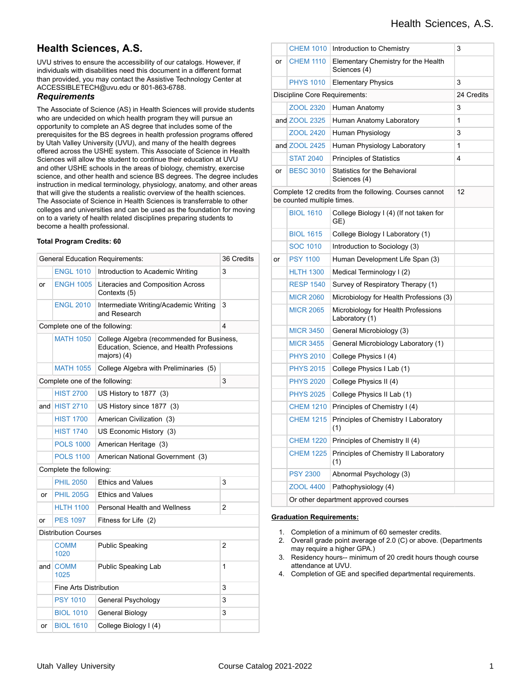# **Health Sciences, A.S.**

UVU strives to ensure the accessibility of our catalogs. However, if individuals with disabilities need this document in a different format than provided, you may contact the Assistive Technology Center at ACCESSIBLETECH@uvu.edu or 801-863-6788.

### *Requirements*

The Associate of Science (AS) in Health Sciences will provide students who are undecided on which health program they will pursue an opportunity to complete an AS degree that includes some of the prerequisites for the BS degrees in health profession programs offered by Utah Valley University (UVU), and many of the health degrees offered across the USHE system. This Associate of Science in Health Sciences will allow the student to continue their education at UVU and other USHE schools in the areas of biology, chemistry, exercise science, and other health and science BS degrees. The degree includes instruction in medical terminology, physiology, anatomy, and other areas that will give the students a realistic overview of the health sciences. The Associate of Science in Health Sciences is transferrable to other colleges and universities and can be used as the foundation for moving on to a variety of health related disciplines preparing students to become a health professional.

#### **Total Program Credits: 60**

| <b>General Education Requirements:</b> | 36 Credits                  |                                                                                                           |   |  |  |
|----------------------------------------|-----------------------------|-----------------------------------------------------------------------------------------------------------|---|--|--|
|                                        | <b>ENGL 1010</b>            | Introduction to Academic Writing                                                                          | 3 |  |  |
| or                                     | <b>ENGH 1005</b>            | Literacies and Composition Across<br>Contexts (5)                                                         |   |  |  |
|                                        | <b>ENGL 2010</b>            | Intermediate Writing/Academic Writing<br>and Research                                                     | 3 |  |  |
| Complete one of the following:         |                             |                                                                                                           | 4 |  |  |
|                                        | <b>MATH 1050</b>            | College Algebra (recommended for Business,<br>Education, Science, and Health Professions<br>majors) $(4)$ |   |  |  |
|                                        | <b>MATH 1055</b>            | College Algebra with Preliminaries (5)                                                                    |   |  |  |
| Complete one of the following:         |                             |                                                                                                           | 3 |  |  |
|                                        | <b>HIST 2700</b>            | US History to 1877 (3)                                                                                    |   |  |  |
| and                                    | <b>HIST 2710</b>            | US History since 1877 (3)                                                                                 |   |  |  |
|                                        | <b>HIST 1700</b>            | American Civilization (3)                                                                                 |   |  |  |
|                                        | <b>HIST 1740</b>            | US Economic History (3)                                                                                   |   |  |  |
|                                        | <b>POLS 1000</b>            | American Heritage (3)                                                                                     |   |  |  |
|                                        | <b>POLS 1100</b>            | American National Government (3)                                                                          |   |  |  |
| Complete the following:                |                             |                                                                                                           |   |  |  |
|                                        | <b>PHIL 2050</b>            | <b>Ethics and Values</b>                                                                                  | 3 |  |  |
| or                                     | <b>PHIL 205G</b>            | <b>Ethics and Values</b>                                                                                  |   |  |  |
|                                        | <b>HLTH 1100</b>            | <b>Personal Health and Wellness</b>                                                                       | 2 |  |  |
| or                                     | <b>PES 1097</b>             | Fitness for Life (2)                                                                                      |   |  |  |
|                                        | <b>Distribution Courses</b> |                                                                                                           |   |  |  |
|                                        | <b>COMM</b><br>1020         | <b>Public Speaking</b>                                                                                    | 2 |  |  |
| and                                    | <b>COMM</b><br>1025         | Public Speaking Lab                                                                                       | 1 |  |  |
|                                        | Fine Arts Distribution      |                                                                                                           | 3 |  |  |
|                                        | <b>PSY 1010</b>             | General Psychology                                                                                        | 3 |  |  |
|                                        | <b>BIOL 1010</b>            | General Biology                                                                                           | 3 |  |  |
| or                                     | <b>BIOL 1610</b>            | College Biology I (4)                                                                                     |   |  |  |

|                                                                                            | <b>CHEM 1010</b> | Introduction to Chemistry                             | 3          |  |  |
|--------------------------------------------------------------------------------------------|------------------|-------------------------------------------------------|------------|--|--|
| or                                                                                         | <b>CHEM 1110</b> | Elementary Chemistry for the Health<br>Sciences (4)   |            |  |  |
|                                                                                            | <b>PHYS 1010</b> | <b>Elementary Physics</b>                             | 3          |  |  |
| Discipline Core Requirements:                                                              |                  |                                                       | 24 Credits |  |  |
|                                                                                            | ZOOL 2320        | Human Anatomy                                         | 3          |  |  |
|                                                                                            | and ZOOL 2325    | Human Anatomy Laboratory                              | 1          |  |  |
|                                                                                            | <b>ZOOL 2420</b> | Human Physiology                                      | 3          |  |  |
|                                                                                            | and ZOOL 2425    | Human Physiology Laboratory                           | 1          |  |  |
|                                                                                            | <b>STAT 2040</b> | <b>Principles of Statistics</b>                       | 4          |  |  |
| or                                                                                         | <b>BESC 3010</b> | <b>Statistics for the Behavioral</b><br>Sciences (4)  |            |  |  |
| 12<br>Complete 12 credits from the following. Courses cannot<br>be counted multiple times. |                  |                                                       |            |  |  |
|                                                                                            | <b>BIOL 1610</b> | College Biology I (4) (If not taken for<br>GE)        |            |  |  |
|                                                                                            | <b>BIOL 1615</b> | College Biology I Laboratory (1)                      |            |  |  |
|                                                                                            | <b>SOC 1010</b>  | Introduction to Sociology (3)                         |            |  |  |
| or                                                                                         | <b>PSY 1100</b>  | Human Development Life Span (3)                       |            |  |  |
|                                                                                            | <b>HLTH 1300</b> | Medical Terminology I (2)                             |            |  |  |
|                                                                                            | <b>RESP 1540</b> | Survey of Respiratory Therapy (1)                     |            |  |  |
|                                                                                            | <b>MICR 2060</b> | Microbiology for Health Professions (3)               |            |  |  |
|                                                                                            | <b>MICR 2065</b> | Microbiology for Health Professions<br>Laboratory (1) |            |  |  |
|                                                                                            | <b>MICR 3450</b> | General Microbiology (3)                              |            |  |  |
|                                                                                            | <b>MICR 3455</b> | General Microbiology Laboratory (1)                   |            |  |  |
|                                                                                            | <b>PHYS 2010</b> | College Physics I (4)                                 |            |  |  |
|                                                                                            | <b>PHYS 2015</b> | College Physics I Lab (1)                             |            |  |  |
|                                                                                            | <b>PHYS 2020</b> | College Physics II (4)                                |            |  |  |
|                                                                                            | <b>PHYS 2025</b> | College Physics II Lab (1)                            |            |  |  |
|                                                                                            | <b>CHEM 1210</b> | Principles of Chemistry I (4)                         |            |  |  |
|                                                                                            | <b>CHEM 1215</b> | Principles of Chemistry I Laboratory<br>(1)           |            |  |  |
|                                                                                            | <b>CHEM 1220</b> | Principles of Chemistry II (4)                        |            |  |  |
|                                                                                            | <b>CHEM 1225</b> | Principles of Chemistry II Laboratory<br>(1)          |            |  |  |
|                                                                                            | <b>PSY 2300</b>  | Abnormal Psychology (3)                               |            |  |  |
|                                                                                            | <b>ZOOL 4400</b> | Pathophysiology (4)                                   |            |  |  |
|                                                                                            |                  | Or other department approved courses                  |            |  |  |

#### **Graduation Requirements:**

- 1. Completion of a minimum of 60 semester credits.
- 2. Overall grade point average of 2.0 (C) or above. (Departments may require a higher GPA.)
- 3. Residency hours-- minimum of 20 credit hours though course attendance at UVU.
- 4. Completion of GE and specified departmental requirements.